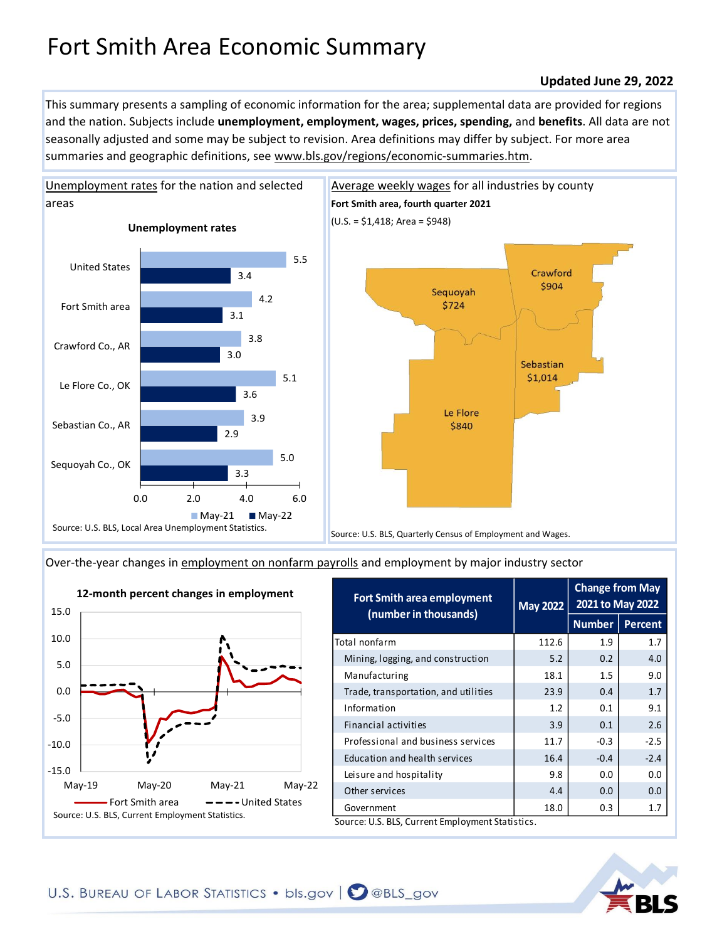## Fort Smith Area Economic Summary

## **Updated June 29, 2022**

This summary presents a sampling of economic information for the area; supplemental data are provided for regions and the nation. Subjects include **unemployment, employment, wages, prices, spending,** and **benefits**. All data are not seasonally adjusted and some may be subject to revision. Area definitions may differ by subject. For more area summaries and geographic definitions, see www.bls.gov/regions/economic-summaries.htm.





[Over-the-year changes in employment on nonfarm payrolls](https://www.bls.gov/sae/) and employment by major industry sector



| <b>Fort Smith area employment</b><br>(number in thousands) | <b>May 2022</b> | <b>Change from May</b><br>2021 to May 2022 |                |
|------------------------------------------------------------|-----------------|--------------------------------------------|----------------|
|                                                            |                 | <b>Number</b>                              | <b>Percent</b> |
| Total nonfarm                                              | 112.6           | 1.9                                        | 1.7            |
| Mining, logging, and construction                          | 5.2             | 0.2                                        | 4.0            |
| Manufacturing                                              | 18.1            | 1.5                                        | 9.0            |
| Trade, transportation, and utilities                       | 23.9            | 0.4                                        | 1.7            |
| Information                                                | 1.2             | 0.1                                        | 9.1            |
| Financial activities                                       | 3.9             | 0.1                                        | 2.6            |
| Professional and business services                         | 11.7            | $-0.3$                                     | $-2.5$         |
| Education and health services                              | 16.4            | $-0.4$                                     | $-2.4$         |
| Leisure and hospitality                                    | 9.8             | 0.0                                        | 0.0            |
| Other services                                             | 4.4             | 0.0                                        | 0.0            |
| Government                                                 | 18.0            | 0.3                                        | 1.7            |
| Source: U.S. BLS, Current Employment Statistics.           |                 |                                            |                |